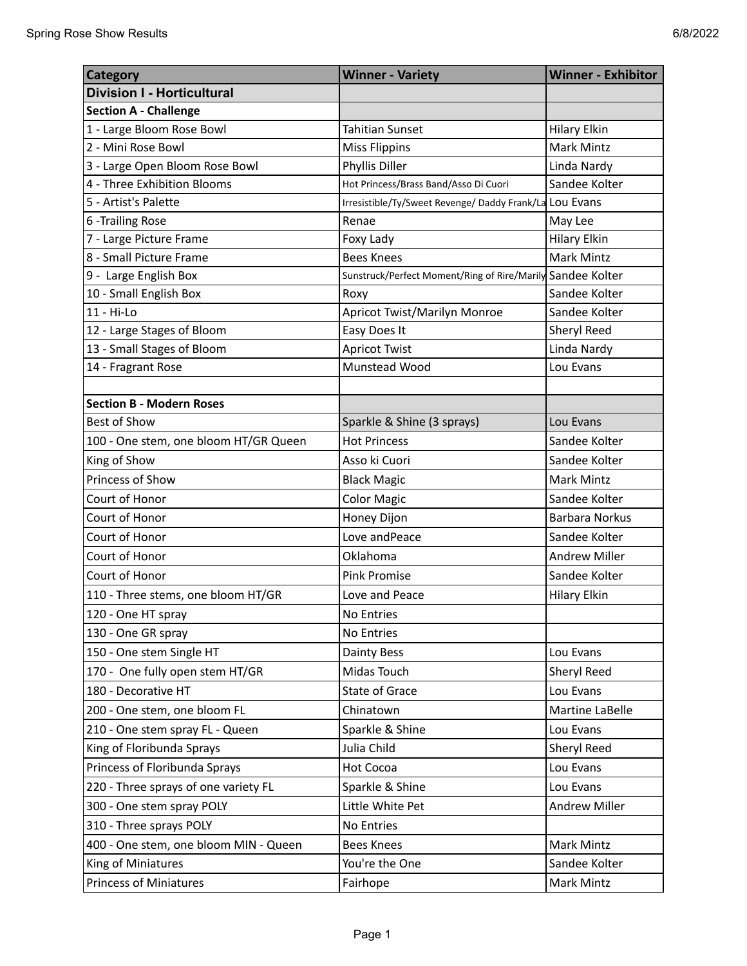| <b>Category</b>                       | <b>Winner - Variety</b>                                    | <b>Winner - Exhibitor</b> |
|---------------------------------------|------------------------------------------------------------|---------------------------|
| <b>Division I - Horticultural</b>     |                                                            |                           |
| <b>Section A - Challenge</b>          |                                                            |                           |
| 1 - Large Bloom Rose Bowl             | <b>Tahitian Sunset</b>                                     | <b>Hilary Elkin</b>       |
| 2 - Mini Rose Bowl                    | <b>Miss Flippins</b>                                       | Mark Mintz                |
| 3 - Large Open Bloom Rose Bowl        | Phyllis Diller                                             | Linda Nardy               |
| 4 - Three Exhibition Blooms           | Hot Princess/Brass Band/Asso Di Cuori                      | Sandee Kolter             |
| 5 - Artist's Palette                  | Irresistible/Ty/Sweet Revenge/ Daddy Frank/La LOU Evans    |                           |
| 6 - Trailing Rose                     | Renae                                                      | May Lee                   |
| 7 - Large Picture Frame               | Foxy Lady                                                  | <b>Hilary Elkin</b>       |
| 8 - Small Picture Frame               | <b>Bees Knees</b>                                          | <b>Mark Mintz</b>         |
| 9 - Large English Box                 | Sunstruck/Perfect Moment/Ring of Rire/Marily Sandee Kolter |                           |
| 10 - Small English Box                | Roxy                                                       | Sandee Kolter             |
| 11 - Hi-Lo                            | Apricot Twist/Marilyn Monroe                               | Sandee Kolter             |
| 12 - Large Stages of Bloom            | Easy Does It                                               | Sheryl Reed               |
| 13 - Small Stages of Bloom            | <b>Apricot Twist</b>                                       | Linda Nardy               |
| 14 - Fragrant Rose                    | Munstead Wood                                              | Lou Evans                 |
|                                       |                                                            |                           |
| <b>Section B - Modern Roses</b>       |                                                            |                           |
| <b>Best of Show</b>                   | Sparkle & Shine (3 sprays)                                 | Lou Evans                 |
| 100 - One stem, one bloom HT/GR Queen | <b>Hot Princess</b>                                        | Sandee Kolter             |
| King of Show                          | Asso ki Cuori                                              | Sandee Kolter             |
| Princess of Show                      | <b>Black Magic</b>                                         | <b>Mark Mintz</b>         |
| Court of Honor                        | <b>Color Magic</b>                                         | Sandee Kolter             |
| Court of Honor                        | Honey Dijon                                                | Barbara Norkus            |
| Court of Honor                        | Love and Peace                                             | Sandee Kolter             |
| Court of Honor                        | Oklahoma                                                   | <b>Andrew Miller</b>      |
| Court of Honor                        | <b>Pink Promise</b>                                        | Sandee Kolter             |
| 110 - Three stems, one bloom HT/GR    | Love and Peace                                             | <b>Hilary Elkin</b>       |
| 120 - One HT spray                    | No Entries                                                 |                           |
| 130 - One GR spray                    | No Entries                                                 |                           |
| 150 - One stem Single HT              | Dainty Bess                                                | Lou Evans                 |
| 170 - One fully open stem HT/GR       | Midas Touch                                                | Sheryl Reed               |
| 180 - Decorative HT                   | <b>State of Grace</b>                                      | Lou Evans                 |
| 200 - One stem, one bloom FL          | Chinatown                                                  | Martine LaBelle           |
| 210 - One stem spray FL - Queen       | Sparkle & Shine                                            | Lou Evans                 |
| King of Floribunda Sprays             | Julia Child                                                | Sheryl Reed               |
| Princess of Floribunda Sprays         | <b>Hot Cocoa</b>                                           | Lou Evans                 |
| 220 - Three sprays of one variety FL  | Sparkle & Shine                                            | Lou Evans                 |
| 300 - One stem spray POLY             | Little White Pet                                           | Andrew Miller             |
| 310 - Three sprays POLY               | No Entries                                                 |                           |
| 400 - One stem, one bloom MIN - Queen | <b>Bees Knees</b>                                          | Mark Mintz                |
| King of Miniatures                    | You're the One                                             | Sandee Kolter             |
| <b>Princess of Miniatures</b>         | Fairhope                                                   | Mark Mintz                |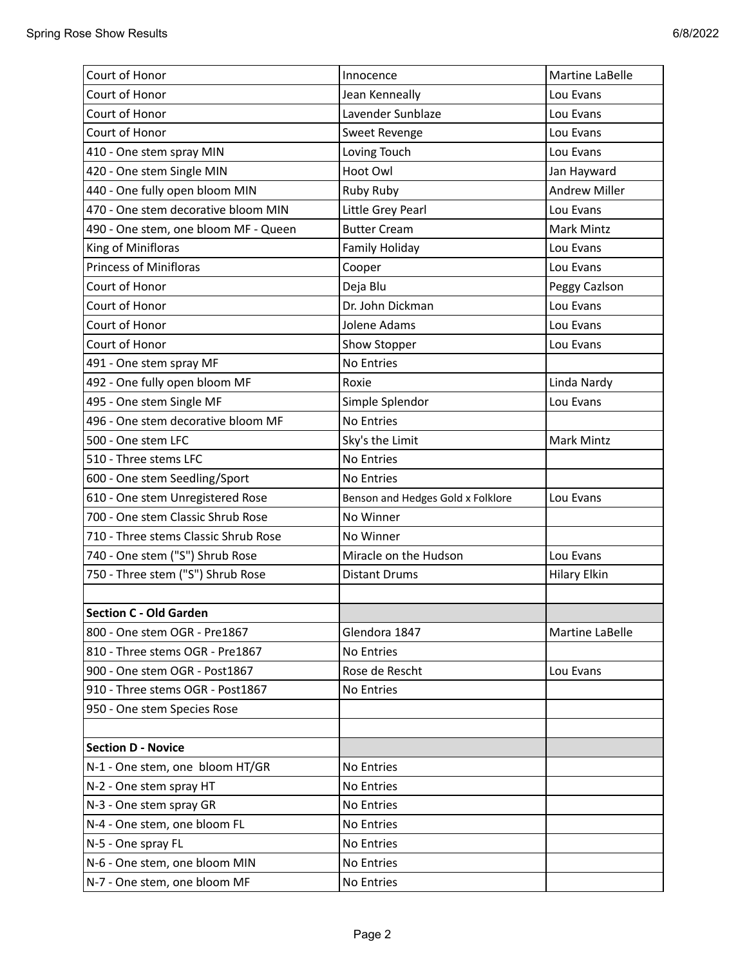| Court of Honor                       | Innocence                         | Martine LaBelle      |
|--------------------------------------|-----------------------------------|----------------------|
| Court of Honor                       | Jean Kenneally                    | Lou Evans            |
| Court of Honor                       | Lavender Sunblaze                 | Lou Evans            |
| Court of Honor                       | Sweet Revenge                     | Lou Evans            |
| 410 - One stem spray MIN             | Loving Touch                      | Lou Evans            |
| 420 - One stem Single MIN            | Hoot Owl                          | Jan Hayward          |
| 440 - One fully open bloom MIN       | Ruby Ruby                         | <b>Andrew Miller</b> |
| 470 - One stem decorative bloom MIN  | Little Grey Pearl                 | Lou Evans            |
| 490 - One stem, one bloom MF - Queen | <b>Butter Cream</b>               | Mark Mintz           |
| King of Minifloras                   | Family Holiday                    | Lou Evans            |
| <b>Princess of Minifloras</b>        | Cooper                            | Lou Evans            |
| Court of Honor                       | Deja Blu                          | Peggy Cazlson        |
| Court of Honor                       | Dr. John Dickman                  | Lou Evans            |
| Court of Honor                       | Jolene Adams                      | Lou Evans            |
| Court of Honor                       | Show Stopper                      | Lou Evans            |
| 491 - One stem spray MF              | No Entries                        |                      |
| 492 - One fully open bloom MF        | Roxie                             | Linda Nardy          |
| 495 - One stem Single MF             | Simple Splendor                   | Lou Evans            |
| 496 - One stem decorative bloom MF   | No Entries                        |                      |
| 500 - One stem LFC                   | Sky's the Limit                   | <b>Mark Mintz</b>    |
| 510 - Three stems LFC                | No Entries                        |                      |
| 600 - One stem Seedling/Sport        | No Entries                        |                      |
| 610 - One stem Unregistered Rose     | Benson and Hedges Gold x Folklore | Lou Evans            |
| 700 - One stem Classic Shrub Rose    | No Winner                         |                      |
| 710 - Three stems Classic Shrub Rose | No Winner                         |                      |
| 740 - One stem ("S") Shrub Rose      | Miracle on the Hudson             | Lou Evans            |
| 750 - Three stem ("S") Shrub Rose    | <b>Distant Drums</b>              | <b>Hilary Elkin</b>  |
|                                      |                                   |                      |
| <b>Section C - Old Garden</b>        |                                   |                      |
| 800 - One stem OGR - Pre1867         | Glendora 1847                     | Martine LaBelle      |
| 810 - Three stems OGR - Pre1867      | No Entries                        |                      |
| 900 - One stem OGR - Post1867        | Rose de Rescht                    | Lou Evans            |
| 910 - Three stems OGR - Post1867     | No Entries                        |                      |
| 950 - One stem Species Rose          |                                   |                      |
|                                      |                                   |                      |
| <b>Section D - Novice</b>            |                                   |                      |
| N-1 - One stem, one bloom HT/GR      | No Entries                        |                      |
| N-2 - One stem spray HT              | No Entries                        |                      |
| N-3 - One stem spray GR              | No Entries                        |                      |
| N-4 - One stem, one bloom FL         | No Entries                        |                      |
| N-5 - One spray FL                   | No Entries                        |                      |
| N-6 - One stem, one bloom MIN        | No Entries                        |                      |
| N-7 - One stem, one bloom MF         | No Entries                        |                      |